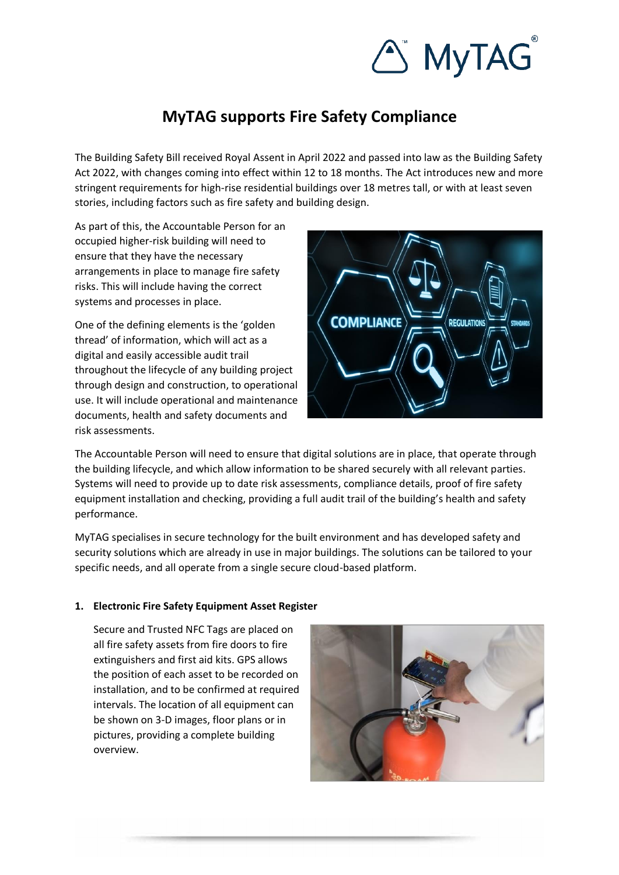

# **MyTAG supports Fire Safety Compliance**

The Building Safety Bill received Royal Assent in April 2022 and passed into law as the Building Safety Act 2022, with changes coming into effect within 12 to 18 months. The Act introduces new and more stringent requirements for high-rise residential buildings over 18 metres tall, or with at least seven stories, including factors such as fire safety and building design.

As part of this, the Accountable Person for an occupied higher-risk building will need to ensure that they have the necessary arrangements in place to manage fire safety risks. This will include having the correct systems and processes in place.

One of the defining elements is the '[golden](https://www.gov.uk/government/publications/building-safety-bill-factsheets/golden-thread-factsheet)  [thread](https://www.gov.uk/government/publications/building-safety-bill-factsheets/golden-thread-factsheet)' of information, which will act as a digital and easily accessible audit trail throughout the lifecycle of any building project through design and construction, to operational use. It will include operational and maintenance documents, health and safety documents and risk assessments.



The Accountable Person will need to ensure that digital solutions are in place, that operate through the building lifecycle, and which allow information to be shared securely with all relevant parties. Systems will need to provide up to date risk assessments, compliance details, proof of fire safety equipment installation and checking, providing a full audit trail of the building's health and safety performance.

MyTAG specialises in secure technology for the built environment and has developed safety and security solutions which are already in use in major buildings. The solutions can be tailored to your specific needs, and all operate from a single secure cloud-based platform.

### **1. Electronic Fire Safety Equipment Asset Register**

Secure and Trusted NFC Tags are placed on all fire safety assets from fire doors to fire extinguishers and first aid kits. GPS allows the position of each asset to be recorded on installation, and to be confirmed at required intervals. The location of all equipment can be shown on 3-D images, floor plans or in pictures, providing a complete building overview.

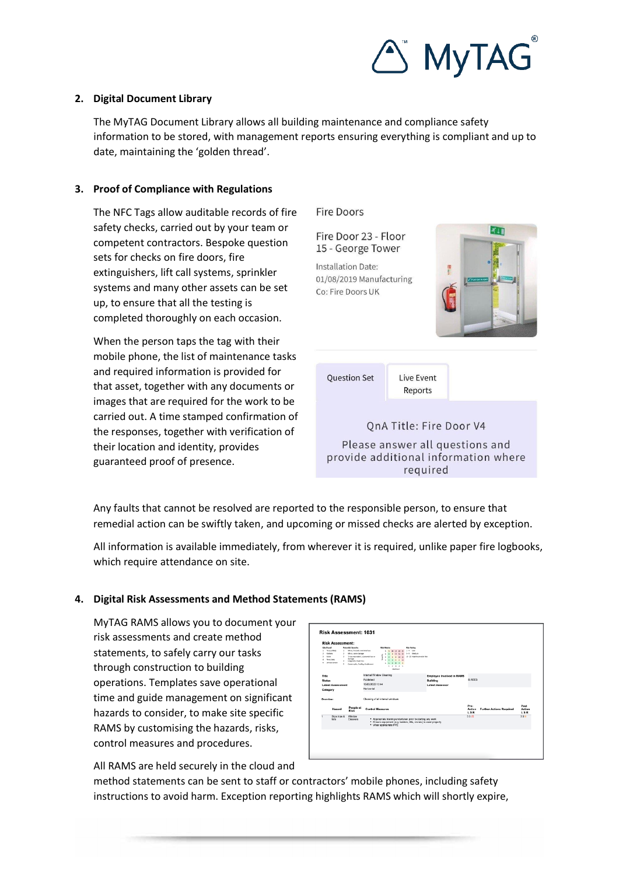

### **2. Digital Document Library**

The MyTAG Document Library allows all building maintenance and compliance safety information to be stored, with management reports ensuring everything is compliant and up to date, maintaining the 'golden thread'.

## **3. Proof of Compliance with Regulations**

The NFC Tags allow auditable records of fire safety checks, carried out by your team or competent contractors. Bespoke question sets for checks on fire doors, fire extinguishers, lift call systems, sprinkler systems and many other assets can be set up, to ensure that all the testing is completed thoroughly on each occasion.

When the person taps the tag with their mobile phone, the list of maintenance tasks and required information is provided for that asset, together with any documents or images that are required for the work to be carried out. A time stamped confirmation of the responses, together with verification of their location and identity, provides guaranteed proof of presence.

**Fire Doors** 



Any faults that cannot be resolved are reported to the responsible person, to ensure that remedial action can be swiftly taken, and upcoming or missed checks are alerted by exception.

All information is available immediately, from wherever it is required, unlike paper fire logbooks, which require attendance on site.

## **4. Digital Risk Assessments and Method Statements (RAMS)**

MyTAG RAMS allows you to document your risk assessments and create method statements, to safely carry our tasks through construction to building operations. Templates save operational time and guide management on significant hazards to consider, to make site specific RAMS by customising the hazards, risks, control measures and procedures.

| Likelihood<br>٠<br><b>United</b><br>×<br>Likely<br>ä.<br>٠<br>s. | <b>Risk Assessment:</b><br>Very unlikely<br>$\mathbf{r}$<br><b>View Literar</b><br>Almast certain | Potential Severity<br>1 Minor, first aid or reiningi long<br>Minor, sprin dansays<br>3 3-tim reportable', substantial loss or<br>damage<br>4 Long term, major loss<br>5 Cypatrophic, Fatality, disablement | <b>Rick Matrix</b><br>1 1 22 23 23 24<br>4 4 8 32 55 20<br>×<br>6 6 12 15<br>$5 - 5$<br>5<br>2 2 4 5 6 70<br>1 1 1 1 4 5<br>1, 2, 3, 4, 5<br><b>Hallmort</b> | <b>Risk Rating</b><br>$1:4$ line<br>S-9 Medium<br>10 - 25 High-Troplersble F&A |                       |                                 |                              |
|------------------------------------------------------------------|---------------------------------------------------------------------------------------------------|------------------------------------------------------------------------------------------------------------------------------------------------------------------------------------------------------------|--------------------------------------------------------------------------------------------------------------------------------------------------------------|--------------------------------------------------------------------------------|-----------------------|---------------------------------|------------------------------|
| Title<br><b>Status</b><br><b>Latest Assessment</b><br>Category   |                                                                                                   |                                                                                                                                                                                                            | Internal Window Cleaning<br>Published<br>15/03/2022 12:44<br>Horizontal                                                                                      | <b>Employee Involved in RAMS</b><br>Building<br><b>Latest Assessor</b>         | <b>BREES</b>          |                                 |                              |
| Overview                                                         |                                                                                                   | Cleaning of all internal windows                                                                                                                                                                           |                                                                                                                                                              |                                                                                |                       |                                 |                              |
|                                                                  | Hazard                                                                                            | People at<br>Rick                                                                                                                                                                                          | <b>Control Measures</b>                                                                                                                                      |                                                                                | Pre-<br>Action<br>LSR | <b>Further Actions Required</b> | Post<br><b>Action</b><br>LSR |
|                                                                  | Slips trips &<br>folio                                                                            | Window<br>Cleaners                                                                                                                                                                                         | * Appropriate training undertaken prior to starting any work<br>· Ensure equipment (e.g. ladders, lifts, cranes) is used properly<br>* Wear appropriate PPE  |                                                                                | 5525                  |                                 | 339                          |
|                                                                  |                                                                                                   |                                                                                                                                                                                                            |                                                                                                                                                              |                                                                                |                       |                                 |                              |

All RAMS are held securely in the cloud and

method statements can be sent to staff or contractors' mobile phones, including safety instructions to avoid harm. Exception reporting highlights RAMS which will shortly expire,